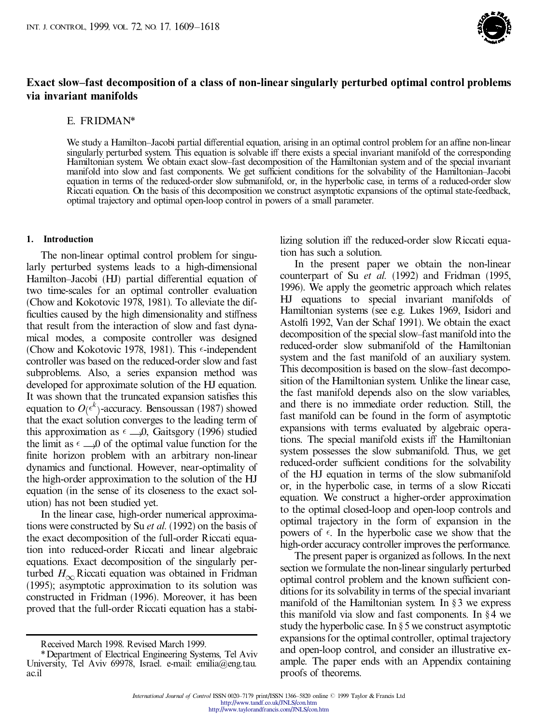

## **Exact slow±fast decomposition of a class of non-linear singularly perturbed optimal control problems via invariant manifolds**

## E. FRIDMAN\*

We study a Hamilton-Jacobi partial differential equation, arising in an optimal control problem for an affine non-linear singularly perturbed system. This equation is solvable iff there exists a special invariant manifold of the corresponding Hamiltonian system. We obtain exact slow±fast decomposition of the Hamiltonian system and of the special invariant manifold into slow and fast components. We get sufficient conditions for the solvability of the Hamiltonian-Jacobi equation in terms of the reduced-order slow submanifold, or, in the hyperbolic case, in terms of a reduced-order slow Riccati equation. On the basis of this decomposition we construct asymptotic expansions of the optimal state-feedback, optimal trajectory and optimal open-loop control in powers of a small parameter.

## **1. Introduction**

The non-linear optimal control problem for singularly perturbed systems leads to a high-dimensional Hamilton-Jacobi (HJ) partial differential equation of two time-scales for an optimal controller evaluation (Chow and Kokotovic 1978, 1981). To alleviate the dif ficulties caused by the high dimensionality and stiffness that result from the interaction of slow and fast dynamical modes, a composite controller was designed (Chow and Kokotovic 1978, 1981). This  $\epsilon$ -independent controller was based on the reduced-order slow and fast subproblems. Also, a series expansion method was developed for approximate solution of the HJ equation. It was shown that the truncated expansion satisfies this equation to  $O(\epsilon^k)$ -accuracy. Bensoussan (1987) showed that the exact solution converges to the leading term of this approximation as  $\epsilon \rightarrow 0$ , Gaitsgory (1996) studied the limit as  $\epsilon \rightarrow 0$  of the optimal value function for the finite horizon problem with an arbitrary non-linear dynamics and functional. However, near-optimality of the high-order approximation to the solution of the HJ equation (in the sense of its closeness to the exact solution) has not been studied yet.

In the linear case, high-order numerical approximations were constructed by Su *et al.* (1992) on the basis of the exact decomposition of the full-order Riccati equation into reduced-order Riccati and linear algebraic equations. Exact decomposition of the singularly perturbed  $H_{\infty}$  Riccati equation was obtained in Fridman (1995); asymptotic approximation to its solution was constructed in Fridman (1996). Moreover, it has been proved that the full-order Riccati equation has a stabilizing solution iff the reduced-order slow Riccati equation has such a solution.

In the present paper we obtain the non-linear counterpart of Su *et al.* (1992) and Fridman (1995, 1996). We apply the geometric approach which relates HJ equations to special invariant manifolds of Hamiltonian systems (see e.g. Lukes 1969, Isidori and Astolfi 1992, Van der Schaf 1991). We obtain the exact decomposition of the special slow-fast manifold into the reduced-order slow submanifold of the Hamiltonian system and the fast manifold of an auxiliary system. This decomposition is based on the slow-fast decomposition of the Hamiltonian system. Unlike the linear case, the fast manifold depends also on the slow variables, and there is no immediate order reduction. Still, the fast manifold can be found in the form of asymptotic expansions with terms evaluated by algebraic operations. The special manifold exists iff the Hamiltonian system possesses the slow submanifold. Thus, we get reduced-order sufficient conditions for the solvability of the HJ equation in terms of the slow submanifold or, in the hyperbolic case, in terms of a slow Riccati equation. We construct a higher-order approximation to the optimal closed-loop and open-loop controls and optimal trajectory in the form of expansion in the powers of  $\epsilon$ . In the hyperbolic case we show that the high-order accuracy controller improves the performance.

The present paper is organized asfollows. In the next section we formulate the non-linear singularly perturbed optimal control problem and the known sufficient conditions for its solvability in terms of the special invariant manifold of the Hamiltonian system. In  $\S 3$  we express this manifold via slow and fast components. In  $§4$  we study the hyperbolic case. In  $\S 5$  we construct asymptotic expansions for the optimal controller, optimal trajectory and open-loop control, and consider an illustrative example. The paper ends with an Appendix containing proofs of theorems.

Received March 1998. Revised March 1999.

<sup>\*</sup>Department of Electrical Engineering Systems, Tel Aviv University, Tel Aviv 69978, Israel. e-mail: emilia@eng.tau. ac.il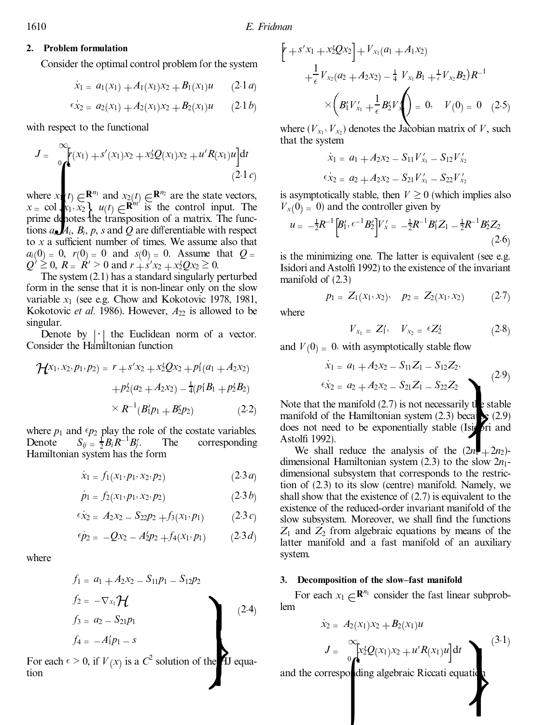## **2. Problem formulation**

Consider the optimal control problem for the system

$$
\dot{x}_1 = a_1(x_1) + A_1(x_1)x_2 + B_1(x_1)u \qquad (2.1a)
$$

$$
\epsilon x_2 = a_2(x_1) + A_2(x_1)x_2 + B_2(x_1)u \qquad (2.1b)
$$

with respect to the functional

$$
J = \int_{0}^{\infty} [r(x_1) + s'(x_1)x_2 + x_2'Q(x_1)x_2 + u'R(x_1)u]dt
$$
\n(2.1*c*)

where  $x_1(t) \in \mathbb{R}^{n_1}$  and  $x_2(t) \in \mathbb{R}^{n_2}$  are the state vectors,<br> $x = \text{col}_{k_1, k_2}$ ,  $y(t) \subset \mathbb{R}^{m}$  is the control input. The  $x = \text{col } x_1, x_2, \quad u(t) \in \mathbb{R}^{m'}$  is the control input. The prime denotes the transposition of a matrix. The funcprime denotes the transposition of a matrix. The functions  $a_{i}$ ,  $A_{i}$ ,  $B_{i}$ ,  $p$ ,  $s$  and  $Q$  are differentiable with respect to  $x$  a sufficient number of times. We assume also that  $a_i(0) = 0$ ,  $r(0) = 0$  and  $s(0) = 0$ . Assume that  $Q = 0$  $\chi_{2} + \chi_{2}^{\prime}Q\chi_{2} \geq 0.$ 

The system (2.1) has a standard singularly perturbed form in the sense that it is non-linear only on the slow variable *x*<sup>1</sup> (see e.g. Chow and Kokotovic 1978, 1981, Kokotovic *et al.* 1986). However,  $A_{22}$  is allowed to be singular.

Denote by  $\vert \cdot \vert$  the Euclidean norm of a vector.<br>nsider the Hamiltonian function Consider the Hamiltonian function

$$
\mathcal{H}^{x_1, x_2, p_1, p_2} = r + s'x_2 + x'_2Qx_2 + p'_1(a_1 + A_2x_2)
$$

$$
+ p'_2(a_2 + A_2x_2) - \frac{1}{4}(p'_1B_1 + p'_2B_2)
$$

$$
\times R^{-1}(B'_1p_1 + B'_2p_2) \tag{2.2}
$$

where  $p_1$  and  $\epsilon p_2$  play the role of the costate variables. Denote  $S_{ij} = \frac{1}{2} B_i R^{-1} B_j'$ . The corresponding Hamiltonian system has the form

$$
\dot{x}_1 = f_1(x_1, p_1, x_2, p_2) \tag{2.3 a}
$$

$$
\dot{p}_1 = f_2(x_1, p_1, x_2, p_2) \tag{2.3b}
$$

$$
\epsilon \dot{x}_2 = A_2 x_2 - S_{22} p_2 + f_3(x_1, p_1) \qquad (2.3c)
$$

$$
\epsilon p_2 = -Qx_2 - A_2'p_2 + f_4(x_1, p_1) \qquad (2.3 d)
$$

where

$$
f_1 = a_1 + A_2x_2 - S_{11}p_1 - S_{12}p_2
$$
  
\n
$$
f_2 = -\nabla_{x_1} \mathcal{H}
$$
  
\n
$$
f_3 = a_2 - S_{21}p_1
$$
  
\n
$$
f_4 = -A_1p_1 - s
$$
  
\n
$$
f_5 = -\nabla_{x_1} \mathcal{H}
$$
  
\n
$$
f_6 = -\frac{1}{2}p_1
$$
  
\n
$$
f_7 = -\frac{1}{2}p_2
$$
  
\n
$$
f_8 = -\frac{1}{2}p_1 - s
$$
  
\n
$$
f_9 = -\frac{1}{2}p_1 - s
$$
  
\n
$$
f_1 = -\frac{1}{2}p_2 - s_3
$$
  
\n
$$
f_2 = -\frac{1}{2}p_3 - s_1
$$
  
\n
$$
f_3 = a_3 - S_{21}p_1
$$
  
\n
$$
f_4 = -\frac{1}{2}p_1 - s
$$
  
\n
$$
f_5 = -\frac{1}{2}p_2 - s_3
$$
  
\n
$$
f_6 = -\frac{1}{2}p_3 - s_2
$$
  
\n
$$
f_7 = -\frac{1}{2}p_2 - s_3
$$
  
\n
$$
f_8 = -\frac{1}{2}p_3 - s_2
$$
  
\n
$$
f_9 = -\frac{1}{2}p_3 - s_3
$$
  
\n
$$
f_9 = -\frac{1}{2}p_3 - s_2
$$
  
\n
$$
f_1 = -\frac{1}{2}p_3 - s_3
$$
  
\n
$$
f_2 = -\frac{1}{2}p_3 - s_2
$$
  
\n
$$
f_3 = a_2 - S_{21}p_1
$$
  
\n
$$
f_1 = -\frac{1}{2}p_3 - s_2
$$
  
\n
$$
f_2 = -\frac{1}{2}p_1 - s_3
$$
  
\n
$$
f_3 = a_2 - S_{21}p_1
$$
  
\n
$$
f_1
$$

the  $\overrightarrow{A}$  equa-<br>and the corresponding For each  $\epsilon > 0$ , if  $V(x)$  is a  $C^2$  solution of the HJ equation

$$
\begin{aligned} \left[ \Gamma + S'x_1 + x_2'Qx_2 \right] + V_{x_1}(a_1 + A_1x_2) \\ + \frac{1}{\epsilon} V_{x_2}(a_2 + A_2x_2) - \frac{1}{4} V_{x_1}B_1 + \frac{1}{\epsilon} V_{x_2}B_2) R^{-1} \\ \times \left( B_1'V'_{x_1} + \frac{1}{\epsilon} B_2'V'_{x_2} \right) = 0, \quad V(0) = 0 \quad (2.5) \end{aligned}
$$

where  $(V_{x_1}, V_{x_2})$  denotes the Jacobian matrix of *V*, such that the system

$$
\dot{x}_1 = a_1 + A_2 x_2 - S_{11} V'_{x_1} - S_{12} V'_{x_2}
$$
  

$$
\epsilon \dot{x}_2 = a_2 + A_2 x_2 - S_{21} V'_{x_1} - S_{22} V'_{x_2}
$$

is asymptotically stable, then  $V \geq 0$  (which implies also  $V_{\rm x}(0) = 0$ ) and the controller given by

$$
u = -\frac{1}{2}R^{-1}\left[B_1', \epsilon^{-1}B_2'\right]V_x' = -\frac{1}{2}R^{-1}B_1'Z_1 - \frac{1}{2}R^{-1}B_2'Z_2\tag{2.6}
$$

is the minimizing one. The latter is equivalent (see e.g. Isidori and Astolfi 1992) to the existence of the invariant manifold of (2.3)

$$
p_1 = Z_1(x_1, x_2), \quad p_2 = Z_2(x_1, x_2) \quad (2.7)
$$

where

$$
V_{x_1} = Z'_1, \quad V_{x_2} = \epsilon Z'_2 \tag{2.8}
$$

and  $V(0) = 0$ , with asymptotically stable flow

$$
\dot{x}_1 = a_1 + A_2 x_2 - S_{11} Z_1 - S_{12} Z_2,
$$
  
\n
$$
\dot{\epsilon x}_2 = a_2 + A_2 x_2 - S_{21} Z_1 - S_{22} Z_2
$$
\n(2.9)

 $\epsilon \dot{x}_2 = a_2 + A_2x_2 - S_{21}Z_1 - S_{22}Z_2$ <br>the manifold (2.7) is not necessarily the stable<br>of the Hamiltonian system (2.3) because (2.9)<br>need to be exponentially stable (Isign i and Note that the manifold  $(2.7)$  is not necessarily the stable manifold of the Hamiltonian system  $(2.3)$  because  $(2.9)$ does not need to be exponentially stable (Isigori and Astolfi 1992).

We shall reduce the analysis of the  $(2n+2n)$ dimensional Hamiltonian system  $(2.3)$  to the slow  $2n_1$ dimensional subsystem that corresponds to the restriction of (2.3) to its slow (centre) manifold. Namely, we shall show that the existence of (2.7) is equivalent to the existence of the reduced-order invariant manifold of the slow subsystem. Moreover, we shall find the functions  $Z_1$  and  $Z_2$  from algebraic equations by means of the latter manifold and a fast manifold of an auxiliary system.

### **3. Decomposition of the slow±fast manifold**

For each  $x_1 \in \mathbb{R}^{n_1}$  consider the fast linear subprob-<br>  $\hat{x}_2 = A_2(x_1)x_2 + B_2(x_1)u$ lem

$$
\dot{x}_2 = A_2(x_1)x_2 + B_2(x_1)u
$$
\n
$$
J = \int_{0}^{\infty} x_2' Q(x_1)x_2 + u'R(x_1)u \, dt
$$
\nand the corresponding algebraic Riccati equation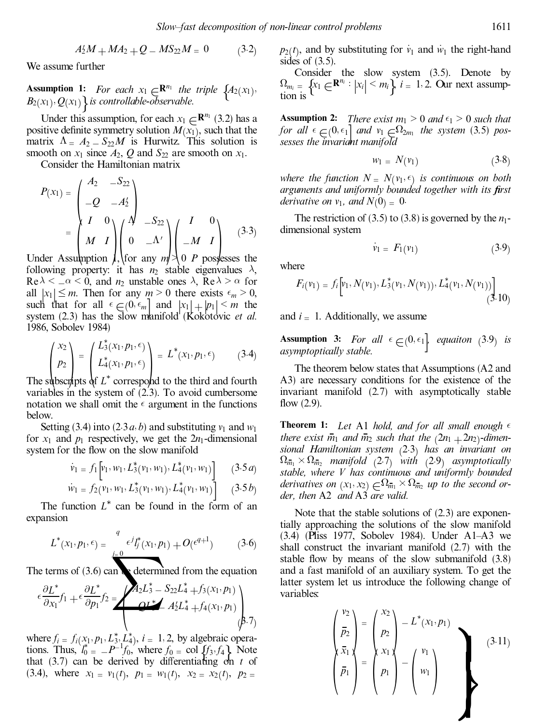$$
A_2'M + MA_2 + Q - MS_{22}M = 0 \qquad (3.2)
$$

We assume further

**Assumption 1:** *For each*  $x_1 \in \mathbb{R}^{n_1}$  *the triple*  $\{A_2(x_1), B_2(x_1), Q_1(x_1)\}$  *is controllable-observable.*  $B_2(x_1)$ ,  $Q(x_1)$  *is controllable-observable.*<br> **Index this assumption, for sock**  $x_1$ 

Under this assumption, for each  $x_1 \in \mathbb{R}^{n_1}$  (3.2) has a itive definite symmetry solution  $M(x_1)$ , such that the positive definite symmetry solution  $M(x_1)$ , such that the matrix  $\Lambda = A_2 - S_{22}M$  is Hurwitz. This solution is smooth on  $x_1$  since  $A_2$ ,  $Q$  and  $S_{22}$  are smooth on  $x_1$ .

Consider the Hamiltonian matrix

*<sup>P</sup>*…*x*<sup>1</sup>† <sup>ˆ</sup> *<sup>A</sup>*<sup>2</sup> ¡*S*<sup>22</sup> ¡*<sup>Q</sup>* ¡*A*<sup>0</sup><sup>2</sup> … † ˆ *I* 0 *<sup>M</sup> <sup>I</sup>* … † … † ¡*<sup>M</sup> <sup>I</sup>* … † Under Assumption 1,for any *m* > 0 *P* possesses the ¡*S*<sup>22</sup> <sup>0</sup> ¡ 0 *I* 0 …3:3†

following property: it has  $n_2$  stable eigenvalues  $\lambda$ ,  $\text{Re}\lambda \leq \alpha \leq 0$ , and  $n_2$  unstable ones  $\lambda$ ,  $\text{Re}\lambda > \alpha$  for all  $|x_1| \leq m$ . Then for any  $m > 0$  there exists  $\epsilon_m > 0$ , such that for all  $\epsilon \in (0, \epsilon_m]$  and  $|x_1| + |p_1| \le m$  the system (2.3) has the slow manifold (Kokotovic *et al.*) 1986, Sobolev 1984)

$$
\begin{pmatrix} x_2 \ p_2 \ \text{The subsets of } L^*(x_1, p_1, \epsilon) \\ p_2 \end{pmatrix} = \begin{pmatrix} L^*(x_1, p_1, \epsilon) \\ L^*(x_1, p_1, \epsilon) \\ \text{the subsets of } L^* \text{ correspond to the third and fourth} \end{pmatrix} \tag{3.4}
$$

variables in the system of  $(2.3)$ . To avoid cumbersome notation we shall omit the  $\epsilon$  argument in the functions below.

Setting (3.4) into (2.3*a*, *b*) and substituting  $v_1$  and  $w_1$ for  $x_1$  and  $p_1$  respectively, we get the  $2n_1$ -dimensional system for the flow on the slow manifold

$$
\dot{v}_1 = f_1 \left[ v_1, w_1, L_3^*(v_1, w_1), L_4^*(v_1, w_1) \right] \quad (3.5a)
$$

$$
\dot{w}_1 = f_2(v_1, w_1, L_3^*(v_1, w_1), L_4^*(v_1, w_1))
$$
 (3.5*b*)  
The function  $L^*$  can be found in the form of an

expansion

$$
L^*(x_1, p_1, \epsilon) = \frac{\epsilon^j I_j^*(x_1, p_1) + O(\epsilon^{q+1})}{\epsilon^j I_j^*(x_1, p_1) + O(\epsilon^{q+1})}
$$
 (3.6) (3.4) (Piss 1 shall construct  
stable flow b  
terms of (3.6) can determined from the equation and a fast ma  
latter system

The terms of  $(3.6)$  can be determined from the equation

$$
\epsilon \frac{\partial L^*}{\partial x_1} f_1 + \epsilon \frac{\partial L^*}{\partial p_1} f_2 = \left\langle \begin{array}{c} A_2 L_3^* - S_{22} L_4^* + f_3(x_1, p_1) \\ \Delta L_4^* + f_4(x_1, p_1) \\ \Delta L_4^* + f_4(x_1, p_1) \end{array} \right\rangle
$$

where  $f_i = f_i(x_1, p_1, L_3^*, L_4^*, i = 1, 2$ , by algebraic operations. Thus,  $l_0^* = -P^{-1}f_0$ , tions. Thus,  $\vec{l}_{0}^{*} = -P^{-1}f_{0}$ , where  $f_{0} = \text{col } \{f_{3}, f_{4}\}$  Note that (3.7) can be derived by differentiating on *t* of  $(3.4)$ , where  $x_1 = v_1(t)$ ,  $p_1 = w_1(t)$ ,  $x_2 = x_2(t)$ ,  $p_2 =$ 

 $p_2(t)$ , and by substituting for  $\dot{v}_1$  and  $\dot{w}_1$  the right-hand sides of  $(3.5)$ .

Consider the slow system (3.5). Denote by  $\Omega_{m_i} = \left\{ x_1 \in \mathbb{R}^{n_i} : |x_i| \leq m_i \right\}$  *i* = 1, 2. Our next assumption is

**Assumption 2:** *There exist*  $m_1 > 0$  *and*  $\epsilon_1 > 0$  *such that for* all  $\epsilon \in (0, \epsilon_1]$  and  $v_1 \in \Omega_{2m_1}$  the system (3.5) pos*sesses the invariant manifold*

$$
w_1 = N(v_1) \tag{3.8}
$$

*where the function*  $N = N(v_1, \epsilon)$  *is continuous on both arguments and uniformly bounded together with its ®rst derivative on*  $v_1$ *, and*  $N(0) = 0$ .

The restriction of (3.5) to (3.8) is governed by the  $n_1$ dimensional system

$$
\dot{v}_1 = F_1(v_1) \tag{3.9}
$$

where

$$
F_i(\nu_1) = f_i \left[ \nu_1, N(\nu_1), L_3^*(\nu_1, N(\nu_1)), L_4^*(\nu_1, N(\nu_1)) \right] \tag{3.10}
$$

and  $i = 1$ . Additionally, we assume

**Assumption 3:** For all  $\epsilon \in (0, \epsilon_1]$  equaiton (3.9) is asymptoptically stable.

The theorem below states that Assumptions (A2 and A3) are necessary conditions for the existence of the invariant manifold (2.7) with asymptotically stable flow  $(2.9)$ .

**Theorem 1:** Let A1 *hold, and for all small enough*  $\epsilon$ *there exist*  $\overline{m_1}$  *and*  $\overline{m_2}$  *such that the*  $(2n_1 + 2n_2)$ *-dimensional Hamiltonian system* …2:3† *has an invariant on*  $\Omega_{\overline{m}_1} \times \Omega_{\overline{m}_2}$  *manifold* (2.7) *with* (2.9) *asymptotically stable, where V has continuous and uniformly bounded derivatives on*  $(x_1, x_2) \in \Omega_{\overline{m}_1} \times \Omega_{\overline{m}_2}$  *up to the second order then* A2 *and* A3 *are valid. der, then* A2 *and* A3 *are valid.*

Note that the stable solutions of (2.3) are exponentially approaching the solutions of the slow manifold  $(3.4)$  (Pliss 1977, Sobolev 1984). Under A1–A3 we shall construct the invariant manifold (2.7) with the stable flow by means of the slow submanifold  $(3.8)$ and a fast manifold of an auxiliary system. To get the latter system let us introduce the following change of variables:

$$
\begin{pmatrix}\nv_2 \\
\bar{p}_2 \\
\bar{x}_1 \\
\bar{p}_1\n\end{pmatrix} =\n\begin{pmatrix}\nx_2 \\
p_2 \\
x_1 \\
p_1\n\end{pmatrix} - L^*(x_1, p_1)\n\begin{pmatrix}\nv_1 \\
w_1\n\end{pmatrix}
$$
\n(3.11)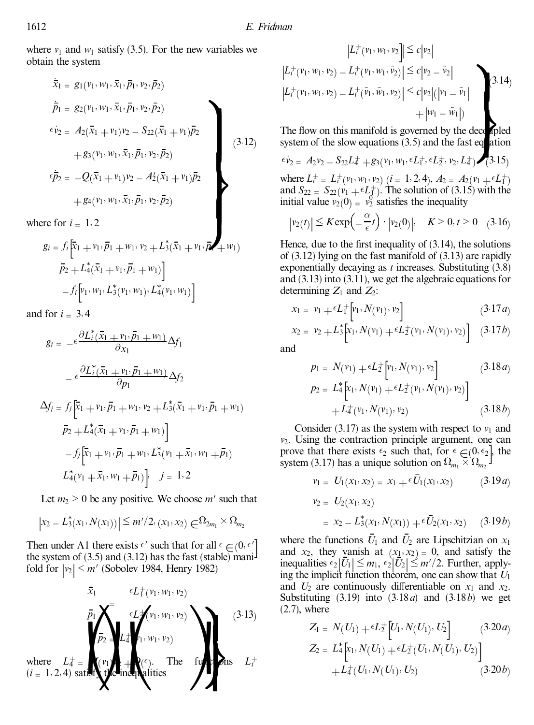where  $v_1$  and  $w_1$  satisfy (3.5). For the new variables we obtain the system

$$
\overline{\dot{x}}_1 = g_1(v_1, w_1, \overline{x}_1, \overline{p}_1, v_2, \overline{p}_2)
$$
\n
$$
\overline{p}_1 = g_2(v_1, w_1, \overline{x}_1, \overline{p}_1, v_2, \overline{p}_2)
$$
\n
$$
\overline{\dot{v}}_2 = A_2(\overline{x}_1 + v_1)v_2 - S_{22}(\overline{x}_1 + v_1)\overline{p}_2
$$
\n
$$
+ g_3(v_1, w_1, \overline{x}_1, \overline{p}_1, v_2, \overline{p}_2)
$$
\n
$$
\overline{\dot{p}}_2 = -Q(\overline{x}_1 + v_1)v_2 - A_2'(\overline{x}_1 + v_1)\overline{p}_2
$$
\n
$$
+ g_4(v_1, w_1, \overline{x}_1, \overline{p}_1, v_2, \overline{p}_2)
$$
\n(3.12)

where for  $i = 1, 2$ 

$$
g_i = f_i \left[ \overline{x}_1 + v_1, \overline{p}_1 + w_1, v_2 + L_3^* (\overline{x}_1 + v_1, \overline{p}_2 + w_1) \right]
$$
  

$$
\overline{p}_2 + L_4^* (\overline{x}_1 + v_1, \overline{p}_1 + w_1) \Big]
$$
  

$$
- f_i \Big[ v_1, w_1, L_3^* (v_1, w_1), L_4^* (v_1, w_1) \Big]
$$

and for  $i = 3, 4$ 

$$
g_{i} = -\epsilon \frac{\partial L_{i}^{*}(\bar{x}_{1} + v_{1}, \bar{p}_{1} + w_{1})}{\partial x_{1}} \Delta f_{1}
$$
  
\n
$$
- \epsilon \frac{\partial L_{i}^{*}(\bar{x}_{1} + v_{1}, \bar{p}_{1} + w_{1})}{\partial p_{1}} \Delta f_{2}
$$
  
\n
$$
\Delta f_{j} = f_{j} \left[ \bar{x}_{1} + v_{1}, \bar{p}_{1} + w_{1}, v_{2} + L_{3}^{*}(\bar{x}_{1} + v_{1}, \bar{p}_{1} + w_{1}) \right]
$$
  
\n
$$
\bar{p}_{2} + L_{4}^{*}(\bar{x}_{1} + v_{1}, \bar{p}_{1} + w_{1}) \Big]
$$
  
\n
$$
- f_{j} \left[ \bar{x}_{1} + v_{1}, \bar{p}_{1} + w_{1}, L_{3}^{*}(v_{1} + \bar{x}_{1}, w_{1} + \bar{p}_{1}) \right]
$$
  
\n
$$
L_{4}^{*}(v_{1} + \bar{x}_{1}, w_{1} + \bar{p}_{1}) \Big] \quad j = 1, 2
$$

Let  $m_2 > 0$  be any positive. We choose  $m'$  such that

$$
|x_2 - L_3^*(x_1, N(x_1))| \leq m'/2, (x_1, x_2) \in \Omega_{2m_1} \times \Omega_{m_2}
$$

Then under A1 there exists  $\epsilon'$  such that for all  $\epsilon \in (0, \epsilon'$ <br>the system of (3.5) and (3.12) has the fast (stable) mani-Then under A1 there exists  $\epsilon'$  such that for all  $\epsilon \in (0, \epsilon'$ <br>the system of (3.5) and (3.12) has the fast (stable) manifold for  $|v_2| \le m'$  (Sobolev 1984, Henry 1982)

$$
\bar{x}_1 \qquad \epsilon L_{1}^{+}(v_1, w_1, v_2) \qquad \text{and } U_2 \text{ are odd,} \\ \bar{p}_1 \qquad \qquad \bar{p}_2 \qquad \qquad L_{4}^{+}(v_1, w_1, v_2) \qquad \qquad (3.13)
$$
\nwhere  $L_{4}^{+} = \begin{pmatrix} v_1 \\ v_2 \end{pmatrix} \qquad \qquad (4.12, 4) \text{ satisfies}$ \n
$$
L_{1}^{+} \qquad \qquad (5.13)
$$
\n
$$
Z_1 = N
$$
\n
$$
Z_2 = L
$$
\n
$$
Z_3 = L
$$
\n
$$
Z_4 = \begin{pmatrix} v_1 \\ v_2 \\ v_3 \end{pmatrix} \qquad \qquad (6.14)
$$
\n
$$
Z_5 = L
$$
\n
$$
Z_6 = \begin{pmatrix} 1 \\ 1 \\ 2 \end{pmatrix} \qquad \qquad (7.14)
$$
\n
$$
Z_7 = \begin{pmatrix} 1 \\ 1 \\ 2 \end{pmatrix} \qquad \qquad (8.15)
$$
\n
$$
Z_8 = \begin{pmatrix} 1 \\ 1 \\ 2 \end{pmatrix} \qquad \qquad (9.16)
$$
\n
$$
Z_9 = \begin{pmatrix} 1 \\ 1 \\ 2 \end{pmatrix} \qquad \qquad (10.17)
$$
\n
$$
Z_1 = N
$$
\n
$$
Z_2 = L
$$

variables we  
\n
$$
|L_i^+(v_1, w_1, v_2)| \le c|v_2|
$$
\n
$$
|L_i^+(v_1, w_1, v_2) - L_i^+(v_1, w_1, \tilde{v}_2)| \le c|v_2 - \tilde{v}_2|
$$
\n
$$
|L_i^+(v_1, w_1, v_2) - L_i^+(\tilde{v}_1, \tilde{w}_1, v_2)| \le c|v_2|(|v_1 - \tilde{v}_1| + |w_1 - \tilde{w}_1|)
$$
\nThe flow on this manifold is governed by the decapled

decompled<br>t eq ation system of the slow equations  $(3.5)$  and the fast equation

$$
\epsilon \dot{v}_2 = A_2 v_2 - S_{22} L_4^+ + g_3(v_1, w_1, \epsilon L_1^+, \epsilon L_2^+, v_2, L_4^+) \cdot (3.15)
$$

 $\epsilon \dot{v}_2 = A_2 v_2 - S_{22} L_4^+ + g_3(v_1, w_1, \epsilon L_1^+, \epsilon L_2^+, v_2, L_4^+)$  (3.15)<br>
where  $L_1^+ = L_1^+(v_1, w_1, v_2)$   $(i = 1, 2, 4), A_2 = A_2(v_1 + \epsilon L_1^+)$ <br>
and  $S_{22} = S_{22}(v_1 + \epsilon L_1^+)$ . The solution of (3.15) with the<br>
initial value  $v_1$  ( where  $L_t^+ = L_t^+(v_1, w_1, v_2)$   $(i = 1, 2, 4)$ ,  $A_2 = A_2(v_1 + \epsilon L_1^+)$ <br>and  $S_2 = S_2(v_1 + \epsilon L_1^+)$ . The solution of (3.15) with the initial value  $v_2(0) = v_2^0$  satisfies the inequality

$$
|v_2(t)| \le K \exp\left(-\frac{\alpha}{\epsilon}t\right) \cdot |v_2(0)|, \quad K > 0, t > 0 \quad (3.16)
$$
  
Hence due to the first inequality of (3.14) the solutions

Hence, due to the first inequality of  $(3.14)$ , the solutions of (3.12) lying on the fast manifold of (3.13) are rapidly exponentially decaying as *t* increases. Substituting (3.8) and (3.13) into (3.11), we get the algebraic equations for determining  $Z_1$  and  $Z_2$ :

$$
x_1 = v_1 + \epsilon L_1^+ \left[ v_1, N(v_1), v_2 \right] \tag{3.17a}
$$

$$
x_2 = v_2 + L_3^* \Big[ x_1, N(v_1) + \epsilon L_2^+ (v_1, N(v_1), v_2) \Big] \quad (3.17b)
$$

and

$$
p_1 = N(v_1) + \epsilon L_2^+ [v_1, N(v_1), v_2]
$$
 (3.18*a*)  
\n
$$
p_2 = L_4^* [x_1, N(v_1) + \epsilon L_2^+ (v_1, N(v_1), v_2)]
$$
  
\n
$$
+ L_4^+ (v_1, N(v_1), v_2)
$$
 (3.18*b*)

Consider  $(3.17)$  as the system with respect to  $v_1$  and *v*2. Using the contraction principle argument, one can prove that there exists  $\epsilon_2$  such that, for  $\epsilon \in (0, \epsilon_2]$ , the system (3.17) has a unique solution on  $\Omega_{m_1} \times \Omega_{m_2}$ prove that there exists  $\epsilon_2$  such that, for  $\epsilon \in (0, \epsilon_2]$ , the

$$
v_1 = U_1(x_1, x_2) = x_1 + \epsilon \bar{U}_1(x_1, x_2) \qquad (3.19a)
$$

$$
v_2 = U_2(x_1, x_2)
$$
  
=  $x_2 = L_3^*(x_1, N(x_1)) + \epsilon \overline{U}_2(x_1, x_2)$  (3.19*b*)

where the functions  $\bar{U}_1$  and  $\bar{U}_2$  are Lipschitzian on  $x_1$ and  $x_2$ , they vanish at  $(x_1, x_2) = 0$ , and satisfy the inequalities  $\epsilon_2|U_1| \leq m_1$ ,  $\epsilon_2|U_2| \leq m'/2$ . Further, apply-<br>ing the implicit function theorem, one can show that  $U_1$ ing the implicit function theorem, one can show that *U*<sup>1</sup> and  $U_2$  are continuously differentiable on  $x_1$  and  $x_2$ . Substituting (3.19) into (3:18*a*) and (3:18*b*) we get (2.7), where

$$
Z_1 = N(U_1) + \epsilon L_2^+ [U_1, N(U_1), U_2]
$$
(3.20*a*)  

$$
Z_2 = L_4^* [x_1, N(U_1) + \epsilon L_2^+ (U_1, N(U_1), U_2)]
$$

$$
+ L_4^+ (U_1, N(U_1), U_2)
$$
(3.20*b*)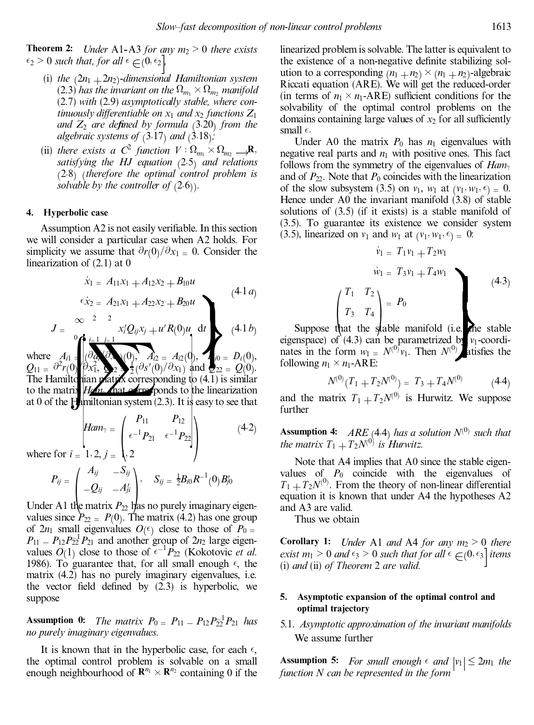**Theorem 2:** *Under* A1-A3 *for any*  $m_2 > 0$  *there exists*  $\epsilon_2 > 0$  *such that, for all*  $\epsilon \in (0, \epsilon_2)$ <br>(i) the  $(2n, +2n_2)$ -dimensional H

- (i) *the*  $(2n_1 + 2n_2)$ *-dimensional Hamiltonian system*  $(2.3)$  *has the invariant on the*  $\Omega_{m_1} \times \Omega_{m_2}$  *manifold* (2.7) *with* (2.9) *asymptotically stable, where continuously differentiable on*  $x_1$  *and*  $x_2$  *functions*  $Z_1$ *and*  $Z_2$  *are defined by formula* (3.20) *from the algebraic systems of*  $(3.17)$  *and*  $(3.18)$ ;
- (ii) *there exists a*  $C^2$  *function*  $V : \Omega_{m_1} \times \Omega_{m_2} \longrightarrow \mathbb{R}$ ,<br>*satisfying the HI equation* (2.5) *and relations satisfying the HJ equation* (2.5) *and relations* …2:8† …*therefore the optimal control problem is solvable by the controller of*  $(2.6)$ *.*

#### **4. Hyperbolic case**

Assumption A2 is not easily verifiable. In this section we will consider a particular case when A2 holds. For simplicity we assume that  $\partial r(0)/\partial x_1 = 0$ . Consider the linearization of (2.1) at 0

$$
\begin{array}{ccc}\n\dot{x}_1 = A_{11}x_1 + A_{12}x_2 + B_{10}u & & & (4.1a) \\
\text{for } x_2 = A_{21}x_1 + A_{22}x_2 + B_{20}u & & & \\
\infty & 2 & 2 & \\
\text{for } x_1 = 1, \, y_1 = 1\n\end{array}
$$
\n
$$
\begin{array}{ccc}\n\text{(4.1a)} & & & (4.1a) \\
\text{(4.1b)} & & \text{Suppose} \\
\text{eigenspace of the equation, the equation is the equation.}\n\end{array}
$$

 $J = {x_i'Q_i \over A_{i1}} \cdot \int_{0}^{0} \int_{0}^{1} \frac{i}{\omega} \frac{1}{\omega} \frac{j}{\omega} \frac{1}{\omega}$  $\int$ **f**  $i=1$   $j=$  $\frac{\partial_a \mathcal{A}}{\partial x_1^2}$   $\frac{\partial_a \mathcal{A}}{\partial x_2^2}$   $\frac{\partial_a \mathcal{A}}{\partial x_3^2}$   $\frac{\partial_a \mathcal{A}}{\partial y_1^2}$   $\frac{\partial_a \mathcal{A}}{\partial y_2^2}$   $\frac{\partial_a \mathcal{A}}{\partial y_3^2}$   $\frac{\partial_a \mathcal{A}}{\partial y_1 \partial x_2}$  and  $\frac{\partial_a \mathcal{A}}{\partial y_2 \partial x_3}$   $\frac{\partial_a \mathcal{A}}{\partial y_2 \partial x_3}$  followin  $x_i^t Q_{ij} x_j + u^t R(0) u \quad dt$  (4.1*b*) where  $A_{i1} = \begin{bmatrix} \frac{\partial a_i}{\partial x_i} & 0, \\ 0, & A_{i2} = A_{i2}(0), \\ 0, & \frac{\partial a_i}{\partial x_i} & 0 \end{bmatrix}$   $A_{i2} = A_{i2}(0),$   $A_{i0} = D_i(0),$ <br> $Q_{11} = \frac{\partial^2 r(0)}{\partial x_1}, \quad Q_{22} = Q(0).$  $Q_{11} = \partial^2 r(0) \langle \partial x_1^2, \partial y_2 \rangle = \frac{1}{2} (\partial s'(0)/\partial x_1)$  and  $Q_{22} = Q(0)$ .<br>The Hamiltonian matrix corresponding to (4.1) is similar

to the matrix *Ham*<sup>2</sup> hat erresponds to the linearization at 0 of the Hamiltonian system  $(2.3)$ . It is easy to see that

$$
Ham_{\gamma} = \begin{pmatrix} P_{11} & P_{12} \\ \epsilon^{-1} P_{21} & \epsilon^{-1} P_{22} \\ 2 & \end{pmatrix}
$$
 (4.2)

where for  $i = 1, 2, j = 1, 2$ 

$$
P_{ij} = \begin{pmatrix} A_{ij} & -S_{ij} \\ -Q_{ij} & -A_{ji}^{\prime} \\ -P_{2j} & -A_{ji}^{\prime} \end{pmatrix}, \quad S_{ij} = \frac{1}{2}B_{i0}R^{-1}(0)B_{j0}^{\prime}
$$
  
Under A1 the matrix  $P_{22}$  has no purely imaginary eigen-

values since  $P_{22} = P(0)$ . The matrix (4.2) has one group of  $2n_1$  small eigenvalues  $O(\epsilon)$  close to those of  $P_{0} =$  $P_{11} = P_{12}P_{21}^{-1}P_{21}^{-1}$  and another group of  $2n_2$  large eigenvalues  $O(1)$  close to those of  $\epsilon^{-1}P_{22}$  (Kokotovic *et al.*) 1986). To guarantee that, for all small enough  $\epsilon$ , the matrix (4.2) has no purely imaginary eigenvalues, i.e. the vector field defined by  $(2.3)$  is hyperbolic, we suppose

**Assumption 0:** *The matrix*  $P_0 = P_{11} - P_{12}P_{22}^{-1}P_{21}$  *has no purely imaginary eigenvalues.*

It is known that in the hyperbolic case, for each  $\epsilon$ , the optimal control problem is solvable on a small enough neighbourhood of  $\mathbb{R}^{n_1} \times \mathbb{R}^{n_2}$  containing 0 if the linearized problem is solvable. The latter is equivalent to the existence of a non-negative definite stabilizing solution to a corresponding  $(n_1 + n_2) \times (n_1 + n_2)$ -algebraic Riccati equation (ARE). We will get the reduced-order (in terms of  $n_1 \times n_1$ -ARE) sufficient conditions for the solvability of the optimal control problems on the domains containing large values of  $x_2$  for all sufficiently small  $\epsilon$ .

Under A0 the matrix  $P_0$  has  $n_1$  eigenvalues with negative real parts and  $n_1$  with positive ones. This fact follows from the symmetry of the eigenvalues of  $Ham_{\gamma}$ and of  $P_{22}$ . Note that  $P_0$  coincides with the linearization of the slow subsystem (3.5) on  $v_1$ ,  $w_1$  at  $(v_1, w_1, \epsilon) = 0$ . Hence under A0 the invariant manifold (3.8) of stable solutions of (3.5) (if it exists) is a stable manifold of (3.5). To guarantee its existence we consider system (3.5), linearized on  $v_1$  and  $w_1$  at  $(v_1, w_1, \epsilon) = 0$ :

$$
\dot{v}_1 = T_1 v_1 + T_2 w_1
$$
\n
$$
\dot{w}_1 = T_3 v_1 + T_4 w_1
$$
\n
$$
\begin{pmatrix} T_1 & T_2 \\ T_3 & T_4 \\ \end{pmatrix} = P_0
$$
\nSuppose that the stable manifold (i.e. the stable  
\nsump<sub>0</sub> of (4,3) can be parametrized by  $y_r$  coordinate

(i.e. the stable<br>d b  $v_1$ -coordi-<br> $v_1$ <sup>(0)</sup> atisfies the eigenspace) of  $(4.3)$  can be parametrized by  $v_1$ -coordinates in the form  $w_1 = N^{(0)}v_1$ . Then  $N^{(0)}$  atisfies the following  $n_1 \times n_1$ -ARE:

$$
N^{(0)}(T_1 + T_2 N^{(0)}) = T_3 + T_4 N^{(0)} \tag{4.4}
$$

and the matrix  $T_1 + T_2 N^{(0)}$  is Hurwitz. We suppose further

**Assumption 4:** *ARE* (4.4) *has a solution*  $N^{(0)}$  *such that the matrix*  $T_1 + T_2N^{(0)}$  *is Hurwitz.* 

Note that A4 implies that A0 since the stable eigenvalues of  $P_0$  coincide with the eigenvalues of  $T_1 + T_2N^{(0)}$ . From the theory of non-linear differential equation it is known that under A4 the hypotheses A2 equation it is known that under A4 the hypotheses A2 and A3 are valid.

Thus we obtain

**Corollary 1:** *Under* A1 *and* A4 *for any m*<sup>2</sup> > 0 *there exist*  $m_1 > 0$  *and*  $\epsilon_3 > 0$  *such that for all*  $\epsilon \in (0, \epsilon_3]$  *items* (*i*) *and* (*ii*) *of Theorem* 2 *are valid.* (i) *and* (ii) *of Theorem* 2 *are valid.*

## **5. Asymptotic expansion of the optimal control and optimal trajectory**

5.1. *Asymptotic approximation of the invariant manifolds* We assume further

**Assumption 5:** *For small enough*  $\epsilon$  *and*  $|v_1| \leq 2m_1$  *the function N can be represented in the form*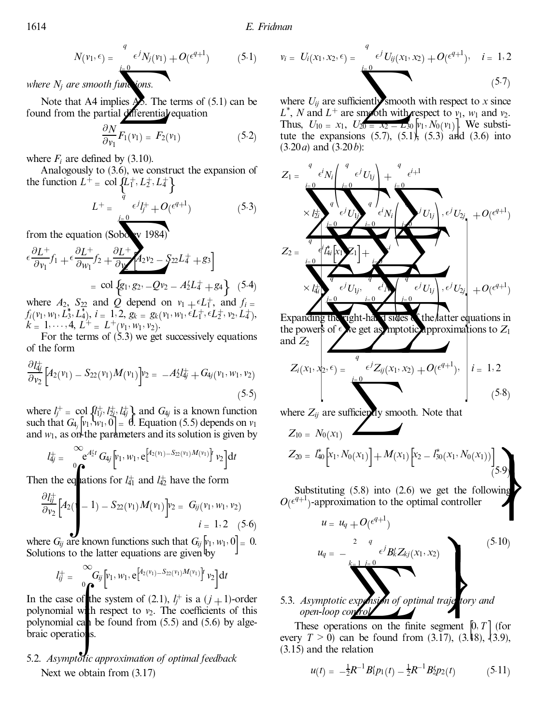$$
N(v_1, \epsilon) = \frac{e^{j} N_j(v_1)}{e^{j} N_j(v_1)} + O(\epsilon^{q+1})
$$
 (5.1)  $v_i = U_i(x_1, x_2, \epsilon)$   
where  $N_j$  are smooth functions.  
Note that A4 implies **A5**. The terms of (5.1) can be where  $U_{ij}$  are su

*where*  $N_j$  *are smooth functions.* 

found from the partial differential equation

$$
\frac{\partial N}{\partial v_1} F_1(v_1) = F_2(v_1) \tag{5.2}
$$

where  $F_i$  are defined by (3.10).

Analogously to (3.6), we construct the expansion of the function  $L^+ = \text{col} \left\{ L_1^+, L_2^+, L_4^+ \right\}$ 

$$
L^{+} = \frac{\frac{1}{q} \epsilon^{j} l_{j}^{+} + O(\epsilon^{q+1})}{\epsilon^{j} l_{j}^{+} + O(\epsilon^{q+1})}
$$
\n
$$
\frac{1}{q} \frac{\epsilon^{j} l_{j}^{+}}{\epsilon^{j} l_{j}^{+} + O(\epsilon^{q+1})}
$$
\n
$$
\frac{\epsilon^{j} l_{j}^{+}}{\epsilon^{j} l_{j}^{+} + O(\epsilon^{q+1})}
$$
\n
$$
\frac{\epsilon^{j} l_{j}^{+}}{\epsilon^{j} l_{j}^{+} + O(\epsilon^{q+1})}
$$

from the equation (Sobory 1984)

$$
\epsilon \frac{\partial L^{+}}{\partial v_{1}} f_{1} + \epsilon \frac{\partial L^{+}}{\partial w_{1}} f_{2} + \frac{\partial L^{+}}{\partial y} A_{2} v_{2} - S_{22} L_{4}^{+} + g_{3}
$$
\n
$$
= \text{col}\left\{g_{1}, g_{2}, -Qv_{2} - A_{2}^{t} L_{4}^{+} + g_{4}\right\} (5.4)
$$
\nwhere  $A = S$ , and  $Q$  depend on  $w = \epsilon I^{+}$  and  $f$ .

where  $A_2$ ,  $S_{22}$  and  $Q$  depend on  $v_1 + \epsilon L_1^+$ , and  $f_i =$ <br> $f(x_i, y_i, L_i^* | I_i^*)$ ,  $i = 1, 2, \alpha_i$ ,  $Q(x_i, y_i, \epsilon I_i^+ \epsilon I_i^+)$ ,  $I_i^+$  $f_i(v_1, w_1, L_3^*, L_4^*)$ ,  $i = 1, 2, g_k = g_k(v_1, w_1, \epsilon L_1^+, \epsilon L_2^+, v_2, L_4^+),$ <br>  $k = 1, \dots, 4, L^+ = L^+(v_1, w_1, v_2).$  $\left(\frac{v_1}{v_2}, \frac{w_1}{v_2}\right)$ 

For the terms of  $(5.3)$  we get successively equations of the form

$$
\frac{\partial I_{4j}^+}{\partial v_2} \Big[ A_2(v_1) - S_{22}(v_1) M(v_1) \Big] v_2 = -A_2' I_{4j}^+ + G_{4j}(v_1, w_1, v_2) \tag{5.5}
$$

where  $l_j^+ = \text{col} \{l_{1j}^+, l_{2j}^+, l_{4j}^+\}$  and  $G_{4j}$  is a known function such that  $G_{4i}$   $[v_1, w_1, 0] = \emptyset$ . Equation (5.5) depends on  $v_1$ such that  $G_{4}$   $|v_1, w_1, 0| = 0$ . Equation (5.5) depends on  $v_1$  and  $w_1$ , as on the parameters and its solution is given by and  $w_1$ , as on the parameters and its solution is given by

$$
l_{4j}^{+} = \int_{0}^{\infty} e^{At_2 t} G_{4j} \left[v_1, w_1, e^{\left[4_2(v_1) - S_{22}(v_1)M(v_1)\right]} v_2\right] dt
$$
  
Then the eqations for  $l_1^{+}$  and  $l_2^{+}$  have the form

$$
\frac{\partial l_{ij}^+}{\partial v_2} \Big[ A_2(1-1) - S_{22}(v_1) M(v_1) \Big] v_2 = G_{ij}(v_1, w_1, v_2)
$$
  
  $i = 1, 2$  (5.6)

where  $G_{ij}$  are known functions such that  $G_{ij}$   $[v_1, w_1, 0] = 0$ .<br>Solutions to the latter equations are given by Solutions to the latter equations are given by

$$
l_{ij}^+=\bigcirc_{0}^{\infty}G_{ij}\left[v_1,w_1,e^{\left[A_2(v_1)-S_{22}(v_1)M(v_1)\right]}v_2\right]\mathrm{d}t
$$

*ii* =  $\int_0^a \int_0^{u} \left[ \int_1^{v_1} w_1 \cdot e^{-u_1} \cdot \frac{u_2}{u_1} \cdot \frac{u_1}{u_2} \right] dt$ <br>In the case of the system of (2.1), *l<sub>j</sub>*+ is a (*j* + 1)-order<br>polynomial with respect to *y*. The coefficients of this polynomial with respect to  $v_2$ . The coefficients of this polynomial can be found from  $(5.5)$  and  $(5.6)$  by algebraic operations.

# 5.2. *Asymptotic approximation of optimal feedback* Next we obtain from (3.17)

$$
v_i = U_i(x_1, x_2, \epsilon) = \sum_{i=0}^{q} \epsilon^j U_{ij}(x_1, x_2) + O(\epsilon^{q+1}), \quad i = 1, 2
$$
\n(5.7)

where  $U_{ij}$  are sufficiently smooth with respect to *x* since  $L^*$ , *N* and  $L^+$  are smooth with respect to  $v_1$ ,  $w_1$  and  $v_2$ . Thus,  $U_{10} = x_1$ ,  $U_{20} = x_2 - L_{30}v_1$ ,  $N_0(v_1)$ . We substitute the expansions (5.7), (5.1), (5.3) and (3.6) into tute the expansions  $(5.7)$ ,  $(5.1)$ ,  $(5.3)$  and  $(3.6)$  into (3:20*a*) and (3:20*b*):

$$
Z_{1} = \frac{e^{i} N_{i}}{N_{i}} \left( \frac{e^{j} U_{1j}}{e^{j} U_{1j}} \right) + \frac{e^{i} e^{i+1}}{e^{i} N_{i}} \left( \frac{e^{j} U_{1j}}{e^{j} V_{1j}} \right) + \frac{e^{i} e^{i+1}}{e^{j} V_{1j}} \left( \frac{e^{j} U_{1j}}{e^{j} V_{1j}} \right) + O(e^{q+1})
$$
\n
$$
Z_{2} = \frac{e^{i} \int_{i=0}^{i=0} e^{i} U_{1j}}{N_{i}} \left( \frac{e^{j} U_{1j}}{e^{j} V_{1j}} \right) + \frac{e^{i} U_{2j}}{e^{j} V_{1j}} \left( \frac{e^{j} U_{1j}}{e^{j} V_{1j}} \right) + O(e^{q+1})
$$

the right-hay v states of the latter equations in<br>of  $\epsilon$  is get as mototic inproximations to  $Z$ . Expanding the right-hand sides of the latter equations in the powers of  $\epsilon$  we get asymptotic approximations to  $Z_1$ and  $Z_2$ 

$$
Z_i(x_1, x_2, \epsilon) = \frac{e^j Z_{ij}(x_1, x_2) + O(\epsilon^{q+1}), \quad i = 1, 2
$$
\n
$$
\sum_{j=0}^{i=0} (5.8)
$$
\nwhere Z, are sufficient we expect that

where  $Z_{ij}$  are sufficiently smooth. Note that

$$
Z_{10} = N_0(x_1)
$$
\n
$$
Z_{20} = I_{40}^{*} \left[ x_1, N_0(x_1) \right] + M(x_1) \left[ x_2 - I_{30}^{*}(x_1, N_0(x_1)) \right]
$$
\nSubstituting (5.8) into (2.6) we get the following  
\n
$$
I_{\ell}e^{q+1} \rightarrow \text{anprovimation to the optimal controller}
$$

 $O(\epsilon^{q+1})$ -approximation to the optimal controller

$$
u = u_q + O(\epsilon^{q+1})
$$
\n
$$
u_q = -\sum_{\substack{k=1 \ k \text{ is odd} \\ k \text{symptotic} \\ k \text{symptotic} \\ k \text{symptotic} \\ \text{for } q \text{ of optimal } \\ \text{trajel} \\ \text{for } q \text{ and} \end{array}} (5.10)
$$

5.3. Asymptotic expansion of optimal traje tory and *open-loop control*

These operations on the finite segment  $[0, T]$  (for every  $T > 0$ ) can be found from (3.17), (3.18), (3.9), These operations on the finite segment  $[0, T]$  (for (3.15) and the relation

$$
u(t) = -\frac{1}{2}R^{-1}B'_{1}p_{1}(t) - \frac{1}{2}R^{-1}B'_{2}p_{2}(t) \qquad (5.11)
$$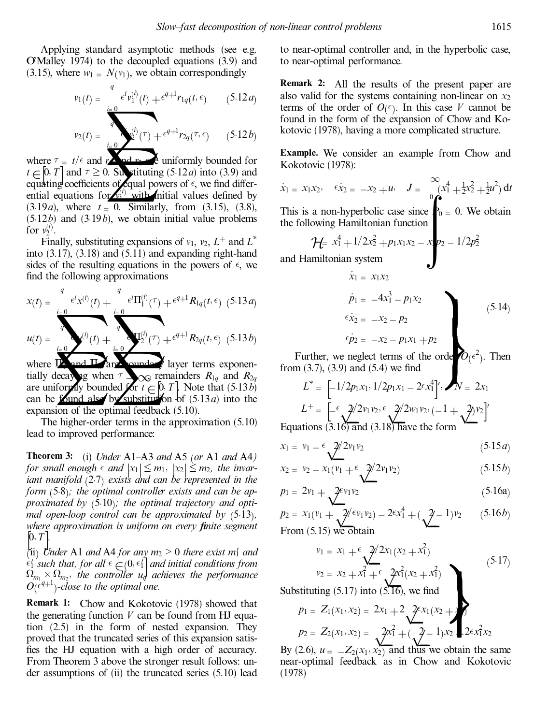Applying standard asymptotic methods (see e.g. O'Malley 1974) to the decoupled equations (3.9) and (3.15), where  $w_1 = N(v_1)$ , we obtain correspondingly

$$
v_1(t) = \begin{cases} \n\epsilon^i v_1^{(i)}(t) + \epsilon^{q+1} r_{1q}(t, \epsilon) & \text{(5.12a)}\\
\epsilon^i v_2(t) = \n\end{cases} \quad \text{also valid for terms of the found in the formula:}
$$
\n
$$
v_2(t) = \frac{\epsilon^i v_1^{(i)}(t) + \epsilon^{q+1} r_{2q}(\tau, \epsilon)}{\epsilon^i v_2(\tau) + \epsilon^{q+1} r_{2q}(\tau, \epsilon)} \quad \text{(5.12b)} \quad \text{kotovic (197)}
$$

$$
v_2(t) = \frac{1}{2} \int_0^{t/2} (\tau) + \epsilon^{q+1} r_{2q}(\tau, \epsilon) \qquad (5.12b)
$$
  
to the two-  
nd  $r \ge 0$ . Substituting (5.12*a*) into (3.9) and

where  $\tau = t/\epsilon$  and  $r$  and  $r$ <sup>2</sup> and  $r$ <sup>2</sup> uniformly bounded for  $t \in [0, T]$  and  $\tau \ge 0$ . Substituting (5:12*a*) into (3.9) and equating coefficients of equal powers of  $\epsilon$ , we find differential equations for  $\mathbf{v}^{(i)}$  with initial values defined by  $(3.19*a*)$ , where  $t = 0$ . Similarly, from  $(3.15)$ ,  $(3.8)$ , (5:12*b*) and (3:19*b*), we obtain initial value problems for  $v_2^{(i)}$ .

Finally, substituting expansions of  $v_1$ ,  $v_2$ ,  $L^+$  and  $L^*$ into  $(3.17)$ ,  $(3.18)$  and  $(5.11)$  and expanding right-hand sides of the resulting equations in the powers of  $\epsilon$ , we find the following approximations

$$
x(t) = \frac{e^{i\omega t}x^{(i)}(t) + \frac{e^{i\omega t}\Pi_1^{(i)}(\tau) + e^{i\omega t}\Pi_{1q}(t,\epsilon)}{2}
$$
  
\n
$$
u(t) = \frac{e^{i\omega t}x^{(i)}(t) + \frac{e^{i\omega t}\Pi_1^{(i)}(\tau) + e^{i\omega t}\Pi_{1q}(t,\epsilon)}{2}
$$
  
\nwhere  $\Pi$  and  $\Pi$  are  $\Pi$  and  $\Pi$  are  $\Pi$  and  $\Pi$  are  $\Pi$  and  $\Pi$  are  $\Pi$  and  $\Pi$  are  $\Pi$  and  $\Pi$  are  $\Pi$  and  $\Pi$  are  $\Pi$  and  $\Pi$  and  $\Pi$  are  $\Pi$  and  $\Pi$  and  $\Pi$  are  $\Pi$  and  $\Pi$  and  $\Pi$  are  $\Pi$  and  $\Pi$  and  $\Pi$  are  $\Pi$  and  $\Pi$ .

**Example 11**<br>and **II** are equinded and the sum of the sum of the case of the section of the section of the section of the section of the section of the section of the section of the section of the section of the section o where  $\frac{\Pi_{\text{A}}}{\Pi_{\text{A}}}$  and  $\frac{\Pi_{\text{A}}}{\Pi_{\text{A}}}$  are  $\Lambda_{\text{B}}$  and  $\Lambda_{\text{B}}$  are  $\Lambda_{\text{B}}$  and  $\Lambda_{\text{B}}$  are  $\Lambda_{\text{B}}$  and  $\Lambda_{\text{B}}$  are  $\Lambda_{\text{B}}$  and  $\Lambda_{\text{B}}$  are  $\Lambda_{\text{B}}$  and  $\Lambda_{\text{B}}$  are  $\Lambda_{\text{B}}$  an tially decaying when  $\tau \rightarrow \infty$  remainders  $R_{1q}$  and  $R_{2q}$  are uniformly bounded for  $t \sim 0$ . T Note that (5.13*b*) are uniformly bounded for  $t \in [0, T]$ . Note that (5.13*b*) can be found also by substitution of (5.13*a*) into the are uniformly bounded of  $i \in [0, 1]$ . Note that  $(3.13*a*)$  and by substitution of  $(5.13*a*)$  into the expansion of the optimal feedback (5.10).

The higher-order terms in the approximation (5.10) lead to improved performance:

**Theorem 3:** (i) *Under* A1–A3 *and* A5 (*or* A1 *and* A4) *for* small enough  $\epsilon$  and  $|x_1| \le m_1$ ,  $|x_2| \le m_2$ , the *invar-*<br>*iant manifold* (2.7) exists and can be represented in the *iant* manifold (2.7) exists and can be represented in the *form* (5.8); the *optimal controller exists and can be approximated by* (5.10); *the optimal trajectory and optimal open-loop control can be approximated by* (5.13), *mal open-loop control can be approximated by* …5:13†*, where approximation is uniform on every ®nite segment .*

 $\begin{bmatrix} 0, T \\ 0 \end{bmatrix}$ <br>(ii) *Under* A1 *and* A4 *for any*  $m_2 > 0$  *there exist*  $m_1$  *and*  $\epsilon_1$  such that, for all  $\epsilon \in (0, \epsilon_1]$  and initial conditions from  $\Omega_{m_1} \times \Omega_{m_2}$ , the controller  $u_q$  achieves the performance  $O(\epsilon^{q+1})$ -close to the optimal one.

**Remark 1:** Chow and Kokotovic (1978) showed that the generating function  $V$  can be found from HJ equation (2.5) in the form of nested expansion. They proved that the truncated series of this expansion satis fies the HJ equation with a high order of accuracy. From Theorem 3 above the stronger result follows: un der assumptions of (ii) the truncated series (5.10) lead to near-optimal controller and, in the hyperbolic case, to near-optimal performance.

**Remark 2:** All the results of the present paper are also valid for the systems containing non-linear on  $x_2$ terms of the order of  $O(\epsilon)$ . In this case *V* cannot be found in the form of the expansion of Chow and Kokotovic (1978), having a more complicated structure.

**Example.** We consider an example from Chow and Kokotovic (1978):

$$
\dot{x}_1 = x_1 x_2, \quad \epsilon \dot{x}_2 = -x_2 + u, \quad J = \int_0^\infty (x_1^4 + \frac{1}{2} x_2^2 + \frac{1}{2} u^2) dt
$$
\nThis is a non-hyperbolic case since

\n
$$
\oint_0^a = 0. \text{ We obtain}
$$

the following Hamiltonian function

$$
\mathcal{H} = x_1^4 + 1/2x_2^2 + p_1x_1x_2 - x_1p_2 - 1/2p_2^2
$$
  
and Hamiltonian system

$$
\begin{aligned}\n\dot{x}_1 &= x_1 x_2 \\
\dot{p}_1 &= -4x_1^3 - p_1 x_2 \\
\epsilon \dot{x}_2 &= -x_2 - p_2 \\
\epsilon \dot{p}_2 &= -x_2 - p_1 x_1 + p_2\n\end{aligned}
$$
\n(5.14)

\nWe neglect terms of the orde  $O(\epsilon^2)$ . Then

J

Further, we neglect terms of the orde  $O(\epsilon^2)$ . Then<br>from (3.7), (3.9) and (5.4) we find<br> $I^* = \begin{bmatrix} 1/2p_1x_1 & 1/2p_2x_2 & 2\epsilon x^4y_1 \\ y_2 & y_2 & 2x_1 \end{bmatrix}$ 

$$
L^* = \left[ -1/2p_1x_1, 1/2p_1x_1 - 2\epsilon x_1^4 \right], \quad N = 2x_1
$$
\n
$$
L^+ = \left[ -\epsilon \frac{2}{2}v_1v_2, \epsilon \frac{2}{2}w_1v_2, (-1 + \frac{2}{2}v_2) \right]
$$
\nEquations (3.16) and (3.18) have the form\n
$$
x_1 = v_1 - \epsilon \frac{2}{2}v_1v_2 \tag{5.15c}
$$

$$
x_1 = v_1 - \frac{\epsilon}{2} \sqrt{2v_1 v_2} \tag{5.15a}
$$

$$
x_1 = v_1 - \epsilon \sqrt{\frac{2}{2}v_1v_2}
$$
(5.15*a*)  
\n
$$
x_2 = v_2 - x_1(v_1 + \epsilon \sqrt{\frac{2}{2}v_1v_2})
$$
(5.15*b*)  
\n
$$
p_1 = 2v_1 + \sqrt{\frac{2}{2}v_1v_2}
$$
(5.16a)  
\n
$$
p_2 = v_1 + \sqrt{\frac{2}{2}v_1v_2}
$$
(5.16b)

$$
p_1 = 2v_1 + \sqrt{2\epsilon v_1 v_2} \tag{5.16a}
$$

$$
p_1 = 2v_1 + \sqrt{2^{v_1 v_2}}
$$
(5.16a)  
\n
$$
p_2 = x_1 (v_1 + \sqrt{2^{v_1 v_2}}) - 2^{v_1 v_1} + (\sqrt{2^{v_1 v_2}}) - 2^{v_2 v_1} + (\sqrt{2^{v_2 v_2}}) = (5.16b)
$$
  
\nFrom (5.15) we obtain  
\n
$$
v_1 = x_1 + \epsilon \sqrt{2^{v_1 v_2} + x_1^2}
$$

$$
v_1 = x_1 + \epsilon \underbrace{2/2x_1(x_2 + x_1^2)}_{v_2 = x_2 + x_1^2 + \epsilon} \underbrace{2x_1^2(x_2 + x_1^2)}_{(x_2 + x_1^2)}
$$
\n
$$
u \text{ting } (5.17) \text{ into } (5.16), \text{ we find}
$$
\n
$$
= Z_1(x_1, x_2) = 2x_1 + 2 \underbrace{2 \epsilon x_1(x_2 + x_1^2)}_{(x_2 + x_1^2)}
$$
\n(5.17)

Substituting  $(5.17)$  into  $(5.\overline{16})$ , we find

$$
p_1 = Z_1(x_1, x_2) = 2x_1 + 2 \sqrt{2}x_1(x_2 + 2)
$$
  
\n
$$
p_2 = Z_2(x_1, x_2) = \sqrt{2}x_1^2 + (\sqrt{2} - 1)x_2 + 2 \sqrt{2}x_1^2x_2
$$
  
\nBy (2.6),  $u = -Z_2(x_1, x_2)$  and thus we obtain the same

 $(x, x_2) = \sqrt{2x_1^2 + (\sqrt{2} - 1)x_2}$ .  $2\epsilon x_1^2 x_2$ <br>  $Z_2(x_1, x_2)$  and thus we obtain the saeedback as in Chow and Kokotc near-optimal feedback as in Chow and Kokotovic (1978)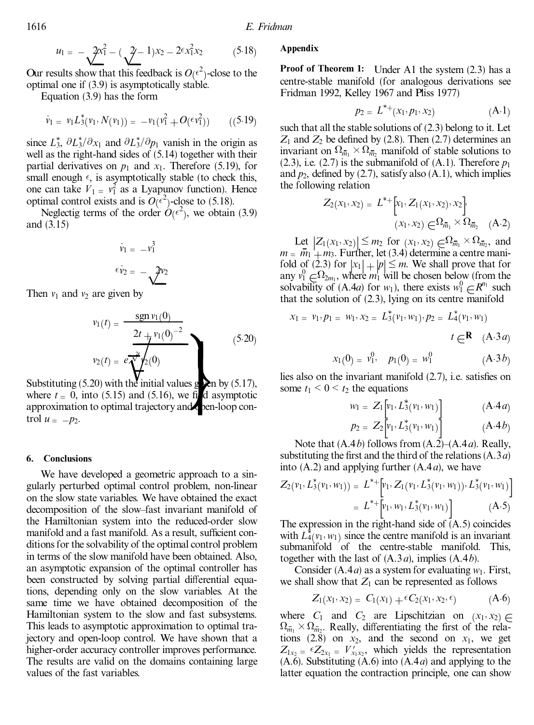$$
u_1 = -\frac{2x_1^2}{\sqrt{2}} - (\frac{2}{\sqrt{2}} - 1)x_2 - 2\epsilon x_1^2 x_2 \qquad (5.18)
$$

 $u_1 = -\sqrt{2x_1^2} - (\sqrt{2}-1)x_2 - 2\epsilon x_1^2 x_2$ <br>sults show that this feedback is  $O(\epsilon^2)$ <br>1 one if (3.9) is asymptotically stable. Our results show that this feedback is  $O(\epsilon^2)$ -close to the optimal one if (3.9) is asymptotically stable.

Equation (3.9) has the form

$$
\dot{v}_1 = v_1 L_3^*(v_1, N(v_1)) = -v_1(v_1^2 + O(\epsilon v_1^2)) \qquad ((5.19)
$$

since  $L_3^*$ ,  $\partial L_3^* / \partial x_1$  and  $\partial L_3^* / \partial p_1$  vanish in the origin as well as the right-hand sides of (5.14) together with their partial derivatives on  $p_1$  and  $x_1$ . Therefore (5.19), for small enough  $\epsilon$ , is asymptotically stable (to check this, one can take  $V_1 = v_1^2$  as a Lyapunov function). Hence optimal control exists and is  $O(\epsilon^2)$ -close to (5.18).

Neglectig terms of the order  $\hat{O}(\epsilon^2)$ , we obtain (3.9) and (3.15)

$$
\dot{v}_1 = -v_1^3
$$
\n
$$
\epsilon \dot{v}_2 = -\sqrt{2v_2}
$$
\n
$$
\text{Given by}
$$
\n
$$
\text{From } \mathcal{O}_1
$$

Then  $v_1$  and  $v_2$  are given by

$$
v_1(t) = \frac{\operatorname{sgn} v_1(0)}{2t + v_1(0)^{-2}}
$$
  
\n
$$
v_2(t) = e \frac{2t}{\sqrt[3]{t}} \left(\frac{v_1}{2}\right)^{-2}
$$
 (5.20)  
\nSubstituting (5.20) with the initial values **g** on by (5.17),  
\nwhere  $t = 0$ , into (5.15) and (5.16), we find asymptotic  
\n
$$
\text{sum } t_1 <
$$
  
\n
$$
v_2(t) = e \frac{2t + v_1}{\sqrt[3]{t}} \left(\frac{v_1}{2}\right)^{-2}
$$
 (5.20)

Substituting (5.20) with the initial values  $g \ge n$  by (5.17), approximation to optimal trajectory and pen-loop control  $u = -p_2$ .

#### **6. Conclusions**

We have developed a geometric approach to a singularly perturbed optimal control problem, non-linear on the slow state variables. We have obtained the exact decomposition of the slow±fast invariant manifold of the Hamiltonian system into the reduced-order slow manifold and a fast manifold. As a result, sufficient conditions for the solvability of the optimal control problem in terms of the slow manifold have been obtained. Also, an asymptotic expansion of the optimal controller has been constructed by solving partial differential equations, depending only on the slow variables. At the same time we have obtained decomposition of the Hamiltonian system to the slow and fast subsystems. This leads to asymptotic approximation to optimal trajectory and open-loop control. We have shown that a higher-order accuracy controller improves performance. The results are valid on the domains containing large values of the fast variables.

### **Appendix**

**Proof of Theorem 1:** Under A1 the system (2.3) has a centre-stable manifold (for analogous derivations see Fridman 1992, Kelley 1967 and Pliss 1977)

$$
p_2 = L^{*+}(x_1, p_1, x_2) \tag{A-1}
$$

such that all the stable solutions of (2.3) belong to it. Let  $Z_1$  and  $Z_2$  be defined by (2.8). Then (2.7) determines an invariant on  $\Omega_{\bar{m}_1} \times \Omega_{\bar{m}_2}$  manifold of stable solutions to (2.3), i.e. (2.7) is the submanifold of  $(A.1)$ . Therefore  $p_1$ and  $p_2$ , defined by (2.7), satisfy also (A.1), which implies the following relation

$$
Z_2(x_1, x_2) = L^{*+} [x_1, Z_1(x_1, x_2), x_2]
$$

$$
(x_1, x_2) \in \Omega_{\bar{m}_1} \times \Omega_{\bar{m}_2} \quad (A.2)
$$

Let  $|Z_1(x_1, x_2)| \leq m_2$  for  $(x_1, x_2) \in \Omega_{m_1} \times \Omega_{m_2}$ , and  $\overline{m_1} + m_2$  Further let (3.4) determine a centre mani $m = m_1 + m_3$ . Further, let (3.4) determine a centre mani-<br>fold of (2.3) for  $|x_1| + |n| \le m$ . We shall prove that for fold of (2.3) for  $|x_1| + |p| \le m$ . We shall prove that for any  $v_1^0 \in \Omega_{2m_1}$ , where  $m_1$  will be chosen below (from the any  $v_1 \in^2 v_{2m_1}$ , where  $m_1$  will be chosen below (from the solvability of (A.4*a*) for  $w_1$ ), there exists  $w_1^0 \in \mathbb{R}^{n_1}$  such that the solution of (2.3). Iving on its centre manifold that the solution of (2.3), lying on its centre manifold

$$
x_1 = v_1, p_1 = w_1, x_2 = L_3^*(v_1, w_1), p_2 = L_4^*(v_1, w_1)
$$
  

$$
t \in \mathbf{R} \quad (A.3a)
$$

$$
x_1(0) = v_1^0, \quad p_1(0) = w_1^0 \tag{A.3b}
$$

lies also on the invariant manifold  $(2.7)$ , i.e. satisfies on some  $t_1 \leq 0 \leq t_2$  the equations

$$
w_1 = Z_1 \left[ v_1, L_3^*(v_1, w_1) \right] \qquad (A.4a)
$$

$$
p_2 = Z_2 \Big[ v_1, L_3^*(v_1, w_1) \Big] \qquad (A.4b)
$$
  
Note that (A.4b) follows from (A.2)–(A.4a). Really,

substituting the first and the third of the relations  $(A.3a)$ into (A.2) and applying further (A.4*a*), we have

$$
Z_2(\nu_1, L_3^*(\nu_1, w_1)) = L^{*+} \Big[ \nu_1, Z_1(\nu_1, L_3^*(\nu_1, w_1)), L_3^*(\nu_1, w_1) \Big]
$$
  
=  $L^{*+} \Big[ \nu_1, w_1, L_3^*(\nu_1, w_1) \Big] \Big[ (A.5)$   
The expression in the right-hand side of (A.5) coincides

with  $L_4^*(v_1, w_1)$  since the centre manifold is an invariant submanifold of the centre-stable manifold. This, together with the last of (A.3*a*), implies (A.4*b*).

Consider (A.4*a*) as a system for evaluating *w*1. First, we shall show that  $Z_1$  can be represented as follows

$$
Z_1(x_1, x_2) = C_1(x_1) + \epsilon C_2(x_1, x_2, \epsilon) \tag{A-6}
$$

where  $C_1$  and  $C_2$  are Lipschitzian on  $(x_1, x_2) \in \Omega$ . Really differentiating the first of the rela- $\bar{m}_1 \times \Omega_{\bar{m}_2}$ . Really, differentiating the first of the relations  $(2.8)$  on  $x_2$ , and the second on  $x_1$ , we get  $Z_{1x_2} = \epsilon Z_{2x_1} = V'_{x_1x_2}$ , which yields the representation (A.6). Substituting (A.6) into (A.4*a*) and applying to the latter equation the contraction principle, one can show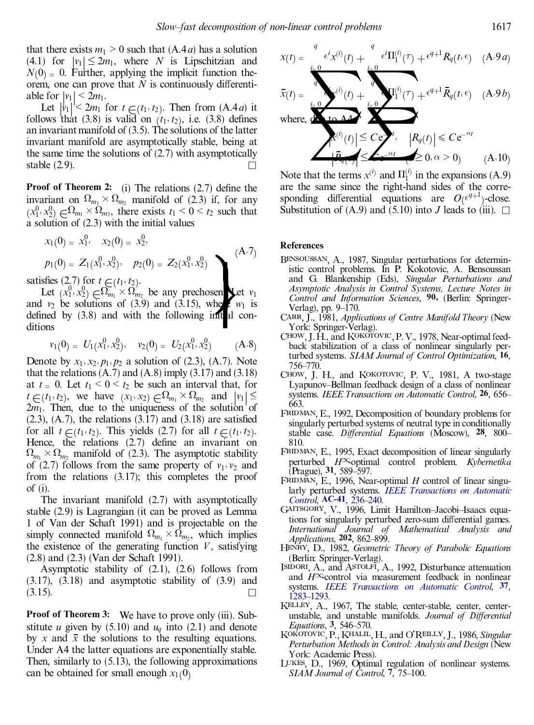that there exists  $m_1 > 0$  such that  $(A.4a)$  has a solution (4.1) for  $|v_1| \leq 2m_1$ , where *N* is Lipschitzian and  $N(0)$  = 0. Further, applying the implicit function theorem, one can prove that  $N$  is continuously differenti-

able for  $|v_1| < 2m_1$ .<br>Let  $|v_1| < 2m_1$  for  $t \in (t_1, t_2)$ . Then from  $(A.4a)$  it<br>follows that (3.8) is valid on  $(t_1, t_2)$  i.e. (3.8) defines follows that  $(3.8)$  is valid on  $(t_1, t_2)$ , i.e.  $(3.8)$  defines an invariant manifold of  $(3.5)$ . The solutions of the latter invariant manifold are asymptotically stable, being at the same time the solutions of (2.7) with asymptotically stable  $(2.9)$ .

**Proof** of **Theorem 2:** (i) The relations  $(2.7)$  define the invariant on  $\Omega_{m_1} \times \Omega_{m_2}$  manifold of (2.3) if, for any  $(x_1^0, x_2^0) \in \Omega_{m_1} \times \Omega_{m_2}$ , there exists  $t_1 < 0 < t_2$  such that  $(x_1^2, x_2^2) \in \Omega_{m_1} \times \Omega_{m_2}$ , there exists  $t_1 < 0 < t_2$ <br>a solution of (2.3) with the initial values

$$
x_1(0) = x_1^0, \quad x_2(0) = x_2^0,
$$
  
\n
$$
p_1(0) = Z_1(x_1^0, x_2^0), \quad p_2(0) = Z_2(x_1^0, x_2^0)
$$
 (A.7)

satisfies (2.7) for  $t \in (t_1, t_2)$ .<br>Let  $(x_1, x_2) \in \Omega_{m_1} \times \Omega_{m_2}$ Let  $(x_1^0, x_2^0) \in \Omega_{m_1} \times \Omega_{m_2}$  be any prechosen. Let  $v_1$  and  $v_2$  be solutions of (3.9) and (3.15), where  $w_1$  is defined by  $(3.8)$  and with the following initial conditions

$$
v_1(0) = U_1(x_1^0, x_2^0), \quad v_2(0) = U_2(x_1^0, x_2^0) \qquad (A.8)
$$

Denote by  $x_1, x_2, p_1, p_2$  a solution of (2.3), (A.7). Note that the relations  $(A.7)$  and  $(A.8)$  imply  $(3.17)$  and  $(3.18)$ at  $t = 0$ . Let  $t_1 < 0 < t_2$  be such an interval that, for  $t \in (t_1, t_2)$ , we have  $(x_1, x_2) \in \Omega_{m_1} \times \Omega_{m_2}$  and  $|v_1| \le 2m_1$ . Then, due to the uniqueness of the solution of  $(2.3)$ ,  $(A.7)$ , the relations  $(3.17)$  and  $(3.18)$  are satisfied for all  $t \in (t_1, t_2)$ . This yields (2.7) for all  $t \in (t_1, t_2)$ .<br>Hence the relations (2.7) define an invariant c Hence, the relations (2.7) define an invariant on  $\Omega_{m_1} \times \Omega_{m_2}$  manifold of (2.3). The asymptotic stability of  $(2.7)$  follows from the same property of  $v_1$ ,  $v_2$  and from the relations (3.17); this completes the proof of (i).

The invariant manifold (2.7) with asymptotically stable (2.9) is Lagrangian (it can be proved as Lemma 1 of Van der Schaft 1991) and is projectable on the simply connected manifold  $\Omega_{m_1} \times \Omega_{m_2}$ , which implies the existence of the generating function  $V$ , satisfying (2.8) and (2.3) (Van der Schaft 1991).

Asymptotic stability of (2.1), (2.6) follows from  $(3.17)$ ,  $(3.18)$  and asymptotic stability of  $(3.9)$  and  $(3.15)$ .

**Proof of Theorem 3:** We have to prove only (iii). Sub stitute *u* given by  $(5.10)$  and  $u_q$  into  $(2.1)$  and denote by *x* and  $\bar{x}$  the solutions to the resulting equations. Under A4 the latter equations are exponentially stable. Then, similarly to (5.13), the following approximations can be obtained for small enough  $x_1(0)$ .

$$
x(t) = \frac{e^{i}x^{(i)}(t) + \frac{e^{i}\Pi_{1}^{(i)}(\tau) + e^{q+1}R_{q}(t,\epsilon)}{(A \cdot 9a)}
$$
  
\n
$$
\bar{x}(t) = \frac{e^{i}x^{(i)}(t) + \frac{e^{i}x^{(i)}(t) + e^{i}}{A}
$$
  
\nwhere,  $\frac{d}{dx}(t) = \frac{1}{B_{q}(t)} \sum_{i=0}^{i} \frac{1}{B_{q}(t)} \sum_{j=0}^{i} \frac{1}{B_{q}(t)} \sum_{j=0}^{i} \frac{1}{B_{q}(t)} \sum_{j=0}^{i} \frac{1}{B_{q}(t)} \sum_{j=0}^{i} \frac{1}{B_{q}(t)} \sum_{j=0}^{i} \frac{1}{B_{q}(t)} \sum_{j=0}^{i} \frac{1}{B_{q}(t)} \sum_{j=0}^{i} \frac{1}{B_{q}(t)} \sum_{j=0}^{i} \frac{1}{B_{q}(t)} \sum_{j=0}^{i} \frac{1}{B_{q}(t)} \sum_{j=0}^{i} \frac{1}{B_{q}(t)} \sum_{j=0}^{i} \frac{1}{B_{q}(t)} \sum_{j=0}^{i} \frac{1}{B_{q}(t)} \sum_{j=0}^{i} \frac{1}{B_{q}(t)} \sum_{j=0}^{i} \frac{1}{B_{q}(t)} \sum_{j=0}^{i} \frac{1}{B_{q}(t)} \sum_{j=0}^{i} \frac{1}{B_{q}(t)} \sum_{j=0}^{i} \frac{1}{B_{q}(t)} \sum_{j=0}^{i} \frac{1}{B_{q}(t)} \sum_{j=0}^{i} \frac{1}{B_{q}(t)} \sum_{j=0}^{i} \frac{1}{B_{q}(t)} \sum_{j=0}^{i} \frac{1}{B_{q}(t)} \sum_{j=0}^{i} \frac{1}{B_{q}(t)} \sum_{j=0}^{i} \frac{1}{B_{q}(t)} \sum_{j=0}^{i} \frac{1}{B_{q}(t)} \sum_{j=0}^{i} \frac{1}{B_{q}(t)} \sum_{j=0}^{i} \frac{1}{B_{q}(t)} \sum_{j=0}^{i} \frac{1}{B_{q}(t)} \sum_{j=0}^{i} \frac{1}{B_{q}(t)} \sum_{$ 

Note that the terms  $x^{(i)}$  and  $\Pi_1^{(i)}$  in the expansions (A.9) are the same since the right-hand sides of the corresponding differential equations are  $O(\epsilon^{q+1})$ -close. Substitution of (A.9) and (5.10) into *J* leads to (iii).  $\Box$ 

#### **References**

- $\begin{pmatrix} (A.7) & \text{Recircles} \\ 2) & \text{Bensoussan, A,} \\ \text{istic control pro} \\ \text{hosen} & \text{et } v_1 \\ \text{with } v_1 \text{ is } \end{pmatrix}$ <br>where  $\begin{pmatrix} (A.7) & \text{Rensoussan, A,} \\ \text{intraation} & \text{intraation} \\ \text{intraation} & \text{intraation} \\ \text{intraation} & \text{intraation} \\ \text{Verlagl, pp. 9–1} \end{pmatrix}$ Bensoussan, A., 1987, Singular perturbations for deterministic control problems. In P. Kokotovic, A. Bensoussan and G. Blankenship (Eds), *Singular Perturbations and Asymptotic Analysis in Control Systems, L ecture Notes in Control and Information Sciences*, **90,** (Berlin: Springer-Verlag), pp.  $9-170$ .
	- Carr, J., 1981, *Applications of Centre Manifold Theory* (New York: Springer-Verlag).
	- CHOW, J. H., and KOKOTOVIC, P. V., 1978, Near-optimal feedback stabilization of a class of nonlinear singularly perturbed systems. *SIAM Journal of Control Optimization*, **16**, 756±770.
	- CHOW, J. H., and KOKOTOVIC, P. V., 1981, A two-stage Lyapunov-Bellman feedback design of a class of nonlinear systems. *IEEE Transactions on Automatic Control*, **26**, 656± 663.
	- FRIDMAN, E., 1992, Decomposition of boundary problems for singularly perturbed systems of neutral type in conditionally stable case. *Differential Equations* (Moscow), 28, 800-810.
	- FRIDMAN, E., 1995, Exact decomposition of linear singularly perturbed  $H^\infty$ optimal control problem. *Kybernetika* (Prague), **31**, 589±597.
	- FRIDMAN, E., 1996, Near-optimal  $H$  control of linear singularly perturbed systems. *IEEE [Transactions](http://giorgio.ingentaselect.com/nw=1/rpsv/cgi-bin/linker?ext=a&reqidx=/0018-9286^28^2941L.236[aid=583455]) on Automatic Control*, **AC-41**, 236-240.
	- GAITSGORY, V., 1996, Limit Hamilton-Jacobi-Isaacs equations for singularly perturbed zero-sum differential games. *International Journal of Mathematical Analysis and Applications*, 202, 862–899.
	- Henry, D., 1982, *Geometric Theory of Parabolic Equations* (Berlin: Springer-Verlag).
	- ISIDORI, A., and ASTOLFI, A., 1992, Disturbance attenuation and  $H^{\infty}$ control via measurement feedback in nonlinear systems. *IEEE [Transactions](http://giorgio.ingentaselect.com/nw=1/rpsv/cgi-bin/linker?ext=a&reqidx=/0018-9286^28^2937L.1283[aid=581883]) on Automatic Control*, **37**, [1283±1293.](http://giorgio.ingentaselect.com/nw=1/rpsv/cgi-bin/linker?ext=a&reqidx=/0018-9286^28^2937L.1283[aid=581883])
	- Kelley, A., 1967, The stable, center-stable, center, centerunstable, and unstable manifolds. *Journal of Differential Equations*, **3**, 546–570.
	- Kokotovic,P.,Khalil,H., and O'Reilly, J., 1986, *Singular Perturbation Methods in Control: Analysis and Design* (New York: Academic Press).
	- Lukes, D., 1969, Optimal regulation of nonlinear systems. *SIAM Journal of Control*, 7, 75–100.